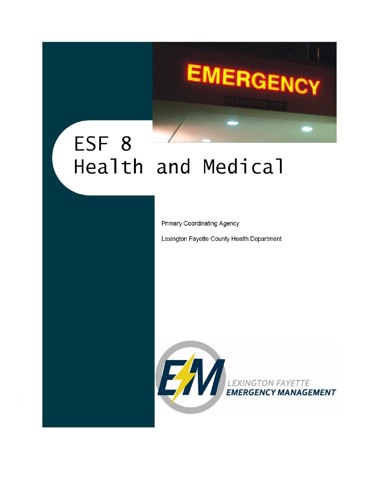# ESF 8 Health and Medical

Primary Coordinating Agency

Lexington Fayette County Health Department

**EMERGENCY** 

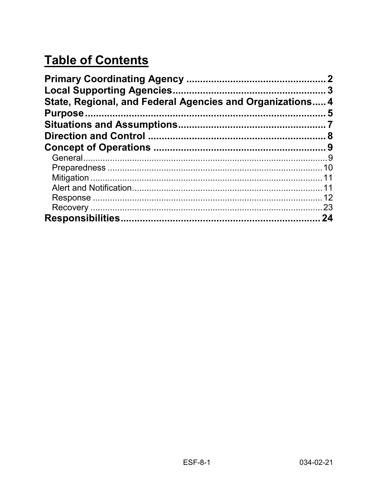# **Table of Contents**

| State, Regional, and Federal Agencies and Organizations 4 |     |
|-----------------------------------------------------------|-----|
|                                                           |     |
|                                                           |     |
|                                                           |     |
|                                                           |     |
|                                                           |     |
|                                                           |     |
|                                                           |     |
|                                                           |     |
|                                                           |     |
|                                                           | .23 |
|                                                           | 24  |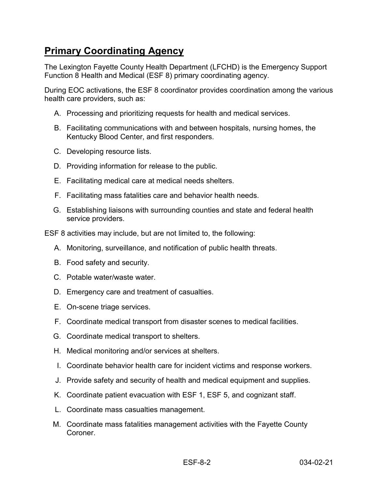# <span id="page-2-0"></span>**Primary Coordinating Agency**

The Lexington Fayette County Health Department (LFCHD) is the Emergency Support Function 8 Health and Medical (ESF 8) primary coordinating agency.

During EOC activations, the ESF 8 coordinator provides coordination among the various health care providers, such as:

- A. Processing and prioritizing requests for health and medical services.
- B. Facilitating communications with and between hospitals, nursing homes, the Kentucky Blood Center, and first responders.
- C. Developing resource lists.
- D. Providing information for release to the public.
- E. Facilitating medical care at medical needs shelters.
- F. Facilitating mass fatalities care and behavior health needs.
- G. Establishing liaisons with surrounding counties and state and federal health service providers.

ESF 8 activities may include, but are not limited to, the following:

- A. Monitoring, surveillance, and notification of public health threats.
- B. Food safety and security.
- C. Potable water/waste water.
- D. Emergency care and treatment of casualties.
- E. On-scene triage services.
- F. Coordinate medical transport from disaster scenes to medical facilities.
- G. Coordinate medical transport to shelters.
- H. Medical monitoring and/or services at shelters.
- I. Coordinate behavior health care for incident victims and response workers.
- J. Provide safety and security of health and medical equipment and supplies.
- K. Coordinate patient evacuation with ESF 1, ESF 5, and cognizant staff.
- L. Coordinate mass casualties management.
- M. Coordinate mass fatalities management activities with the Fayette County **Coroner**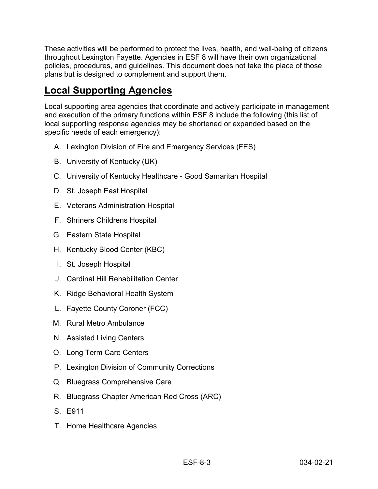These activities will be performed to protect the lives, health, and well-being of citizens throughout Lexington Fayette. Agencies in ESF 8 will have their own organizational policies, procedures, and guidelines. This document does not take the place of those plans but is designed to complement and support them.

# <span id="page-3-0"></span>**Local Supporting Agencies**

Local supporting area agencies that coordinate and actively participate in management and execution of the primary functions within ESF 8 include the following (this list of local supporting response agencies may be shortened or expanded based on the specific needs of each emergency):

- A. Lexington Division of Fire and Emergency Services (FES)
- B. University of Kentucky (UK)
- C. University of Kentucky Healthcare Good Samaritan Hospital
- D. St. Joseph East Hospital
- E. Veterans Administration Hospital
- F. Shriners Childrens Hospital
- G. Eastern State Hospital
- H. Kentucky Blood Center (KBC)
- I. St. Joseph Hospital
- J. Cardinal Hill Rehabilitation Center
- K. Ridge Behavioral Health System
- L. Fayette County Coroner (FCC)
- M. Rural Metro Ambulance
- N. Assisted Living Centers
- O. Long Term Care Centers
- P. Lexington Division of Community Corrections
- Q. Bluegrass Comprehensive Care
- R. Bluegrass Chapter American Red Cross (ARC)
- S. E911
- T. Home Healthcare Agencies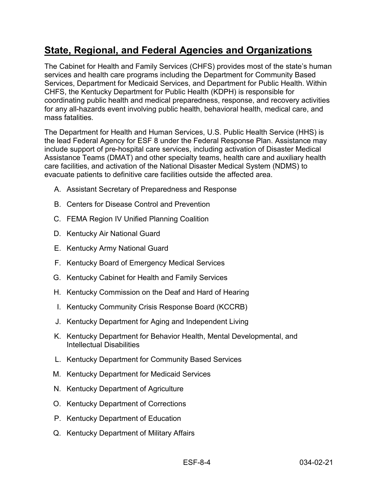# <span id="page-4-0"></span>**State, Regional, and Federal Agencies and Organizations**

The Cabinet for Health and Family Services (CHFS) provides most of the state's human services and health care programs including the Department for Community Based Services, Department for Medicaid Services, and Department for Public Health. Within CHFS, the Kentucky Department for Public Health (KDPH) is responsible for coordinating public health and medical preparedness, response, and recovery activities for any all-hazards event involving public health, behavioral health, medical care, and mass fatalities.

The Department for Health and Human Services, U.S. Public Health Service (HHS) is the lead Federal Agency for ESF 8 under the Federal Response Plan. Assistance may include support of pre-hospital care services, including activation of Disaster Medical Assistance Teams (DMAT) and other specialty teams, health care and auxiliary health care facilities, and activation of the National Disaster Medical System (NDMS) to evacuate patients to definitive care facilities outside the affected area.

- A. Assistant Secretary of Preparedness and Response
- B. Centers for Disease Control and Prevention
- C. FEMA Region IV Unified Planning Coalition
- D. Kentucky Air National Guard
- E. Kentucky Army National Guard
- F. Kentucky Board of Emergency Medical Services
- G. Kentucky Cabinet for Health and Family Services
- H. Kentucky Commission on the Deaf and Hard of Hearing
- I. Kentucky Community Crisis Response Board (KCCRB)
- J. Kentucky Department for Aging and Independent Living
- K. Kentucky Department for Behavior Health, Mental Developmental, and Intellectual Disabilities
- L. Kentucky Department for Community Based Services
- M. Kentucky Department for Medicaid Services
- N. Kentucky Department of Agriculture
- O. Kentucky Department of Corrections
- P. Kentucky Department of Education
- Q. Kentucky Department of Military Affairs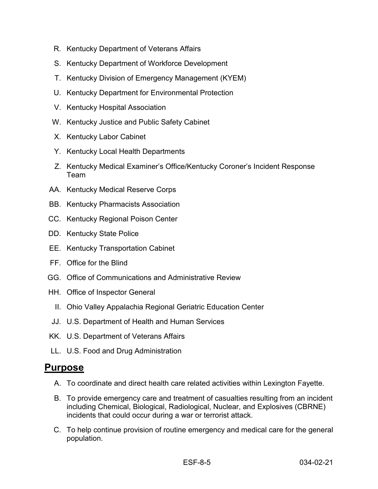- R. Kentucky Department of Veterans Affairs
- S. Kentucky Department of Workforce Development
- T. Kentucky Division of Emergency Management (KYEM)
- U. Kentucky Department for Environmental Protection
- V. Kentucky Hospital Association
- W. Kentucky Justice and Public Safety Cabinet
- X. Kentucky Labor Cabinet
- Y. Kentucky Local Health Departments
- Z. Kentucky Medical Examiner's Office/Kentucky Coroner's Incident Response Team
- AA. Kentucky Medical Reserve Corps
- BB. Kentucky Pharmacists Association
- CC. Kentucky Regional Poison Center
- DD. Kentucky State Police
- EE. Kentucky Transportation Cabinet
- FF. Office for the Blind
- GG. Office of Communications and Administrative Review
- HH. Office of Inspector General
	- II. Ohio Valley Appalachia Regional Geriatric Education Center
- JJ. U.S. Department of Health and Human Services
- KK. U.S. Department of Veterans Affairs
- LL. U.S. Food and Drug Administration

#### <span id="page-5-0"></span>**Purpose**

- A. To coordinate and direct health care related activities within Lexington Fayette.
- B. To provide emergency care and treatment of casualties resulting from an incident including Chemical, Biological, Radiological, Nuclear, and Explosives (CBRNE) incidents that could occur during a war or terrorist attack.
- C. To help continue provision of routine emergency and medical care for the general population.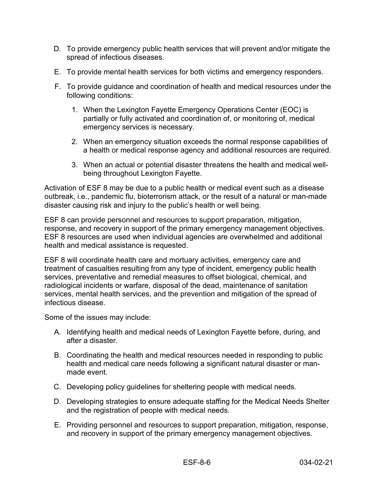- D. To provide emergency public health services that will prevent and/or mitigate the spread of infectious diseases.
- E. To provide mental health services for both victims and emergency responders.
- F. To provide guidance and coordination of health and medical resources under the following conditions:
	- 1. When the Lexington Fayette Emergency Operations Center (EOC) is partially or fully activated and coordination of, or monitoring of, medical emergency services is necessary.
	- 2. When an emergency situation exceeds the normal response capabilities of a health or medical response agency and additional resources are required.
	- 3. When an actual or potential disaster threatens the health and medical wellbeing throughout Lexington Fayette.

Activation of ESF 8 may be due to a public health or medical event such as a disease outbreak, i.e., pandemic flu, bioterrorism attack, or the result of a natural or man-made disaster causing risk and injury to the public's health or well being.

ESF 8 can provide personnel and resources to support preparation, mitigation, response, and recovery in support of the primary emergency management objectives. ESF 8 resources are used when individual agencies are overwhelmed and additional health and medical assistance is requested.

ESF 8 will coordinate health care and mortuary activities, emergency care and treatment of casualties resulting from any type of incident, emergency public health services, preventative and remedial measures to offset biological, chemical, and radiological incidents or warfare, disposal of the dead, maintenance of sanitation services, mental health services, and the prevention and mitigation of the spread of infectious disease.

Some of the issues may include:

- A. Identifying health and medical needs of Lexington Fayette before, during, and after a disaster.
- B. Coordinating the health and medical resources needed in responding to public health and medical care needs following a significant natural disaster or manmade event.
- C. Developing policy guidelines for sheltering people with medical needs.
- D. Developing strategies to ensure adequate staffing for the Medical Needs Shelter and the registration of people with medical needs.
- E. Providing personnel and resources to support preparation, mitigation, response, and recovery in support of the primary emergency management objectives.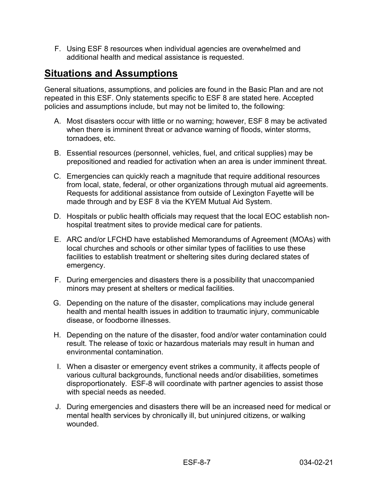F. Using ESF 8 resources when individual agencies are overwhelmed and additional health and medical assistance is requested.

# <span id="page-7-0"></span>**Situations and Assumptions**

General situations, assumptions, and policies are found in the Basic Plan and are not repeated in this ESF. Only statements specific to ESF 8 are stated here. Accepted policies and assumptions include, but may not be limited to, the following:

- A. Most disasters occur with little or no warning; however, ESF 8 may be activated when there is imminent threat or advance warning of floods, winter storms, tornadoes, etc.
- B. Essential resources (personnel, vehicles, fuel, and critical supplies) may be prepositioned and readied for activation when an area is under imminent threat.
- C. Emergencies can quickly reach a magnitude that require additional resources from local, state, federal, or other organizations through mutual aid agreements. Requests for additional assistance from outside of Lexington Fayette will be made through and by ESF 8 via the KYEM Mutual Aid System.
- D. Hospitals or public health officials may request that the local EOC establish nonhospital treatment sites to provide medical care for patients.
- E. ARC and/or LFCHD have established Memorandums of Agreement (MOAs) with local churches and schools or other similar types of facilities to use these facilities to establish treatment or sheltering sites during declared states of emergency.
- F. During emergencies and disasters there is a possibility that unaccompanied minors may present at shelters or medical facilities.
- G. Depending on the nature of the disaster, complications may include general health and mental health issues in addition to traumatic injury, communicable disease, or foodborne illnesses.
- H. Depending on the nature of the disaster, food and/or water contamination could result. The release of toxic or hazardous materials may result in human and environmental contamination.
- I. When a disaster or emergency event strikes a community, it affects people of various cultural backgrounds, functional needs and/or disabilities, sometimes disproportionately. ESF-8 will coordinate with partner agencies to assist those with special needs as needed.
- J. During emergencies and disasters there will be an increased need for medical or mental health services by chronically ill, but uninjured citizens, or walking wounded.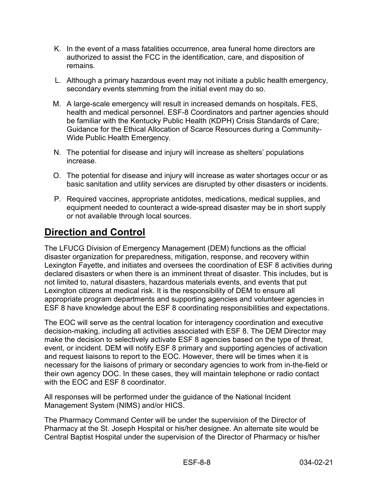- K. In the event of a mass fatalities occurrence, area funeral home directors are authorized to assist the FCC in the identification, care, and disposition of remains.
- L. Although a primary hazardous event may not initiate a public health emergency, secondary events stemming from the initial event may do so.
- M. A large-scale emergency will result in increased demands on hospitals, FES, health and medical personnel. ESF-8 Coordinators and partner agencies should be familiar with the Kentucky Public Health (KDPH) Crisis Standards of Care; Guidance for the Ethical Allocation of Scarce Resources during a Community-Wide Public Health Emergency.
- N. The potential for disease and injury will increase as shelters' populations increase.
- O. The potential for disease and injury will increase as water shortages occur or as basic sanitation and utility services are disrupted by other disasters or incidents.
- P. Required vaccines, appropriate antidotes, medications, medical supplies, and equipment needed to counteract a wide-spread disaster may be in short supply or not available through local sources.

### <span id="page-8-0"></span>**Direction and Control**

The LFUCG Division of Emergency Management (DEM) functions as the official disaster organization for preparedness, mitigation, response, and recovery within Lexington Fayette, and initiates and oversees the coordination of ESF 8 activities during declared disasters or when there is an imminent threat of disaster. This includes, but is not limited to, natural disasters, hazardous materials events, and events that put Lexington citizens at medical risk. It is the responsibility of DEM to ensure all appropriate program departments and supporting agencies and volunteer agencies in ESF 8 have knowledge about the ESF 8 coordinating responsibilities and expectations.

The EOC will serve as the central location for interagency coordination and executive decision-making, including all activities associated with ESF 8. The DEM Director may make the decision to selectively activate ESF 8 agencies based on the type of threat, event, or incident. DEM will notify ESF 8 primary and supporting agencies of activation and request liaisons to report to the EOC. However, there will be times when it is necessary for the liaisons of primary or secondary agencies to work from in-the-field or their own agency DOC. In these cases, they will maintain telephone or radio contact with the EOC and ESF 8 coordinator.

All responses will be performed under the guidance of the National Incident Management System (NIMS) and/or HICS.

The Pharmacy Command Center will be under the supervision of the Director of Pharmacy at the St. Joseph Hospital or his/her designee. An alternate site would be Central Baptist Hospital under the supervision of the Director of Pharmacy or his/her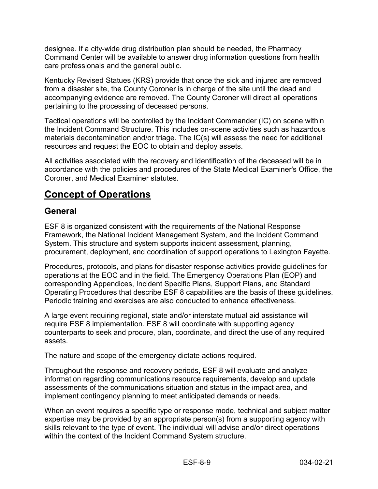designee. If a city-wide drug distribution plan should be needed, the Pharmacy Command Center will be available to answer drug information questions from health care professionals and the general public.

Kentucky Revised Statues (KRS) provide that once the sick and injured are removed from a disaster site, the County Coroner is in charge of the site until the dead and accompanying evidence are removed. The County Coroner will direct all operations pertaining to the processing of deceased persons.

Tactical operations will be controlled by the Incident Commander (IC) on scene within the Incident Command Structure. This includes on-scene activities such as hazardous materials decontamination and/or triage. The IC(s) will assess the need for additional resources and request the EOC to obtain and deploy assets.

All activities associated with the recovery and identification of the deceased will be in accordance with the policies and procedures of the State Medical Examiner's Office, the Coroner, and Medical Examiner statutes.

# <span id="page-9-0"></span>**Concept of Operations**

#### <span id="page-9-1"></span>**General**

ESF 8 is organized consistent with the requirements of the National Response Framework, the National Incident Management System, and the Incident Command System. This structure and system supports incident assessment, planning, procurement, deployment, and coordination of support operations to Lexington Fayette.

Procedures, protocols, and plans for disaster response activities provide guidelines for operations at the EOC and in the field. The Emergency Operations Plan (EOP) and corresponding Appendices, Incident Specific Plans, Support Plans, and Standard Operating Procedures that describe ESF 8 capabilities are the basis of these guidelines. Periodic training and exercises are also conducted to enhance effectiveness.

A large event requiring regional, state and/or interstate mutual aid assistance will require ESF 8 implementation. ESF 8 will coordinate with supporting agency counterparts to seek and procure, plan, coordinate, and direct the use of any required assets.

The nature and scope of the emergency dictate actions required.

Throughout the response and recovery periods, ESF 8 will evaluate and analyze information regarding communications resource requirements, develop and update assessments of the communications situation and status in the impact area, and implement contingency planning to meet anticipated demands or needs.

When an event requires a specific type or response mode, technical and subject matter expertise may be provided by an appropriate person(s) from a supporting agency with skills relevant to the type of event. The individual will advise and/or direct operations within the context of the Incident Command System structure.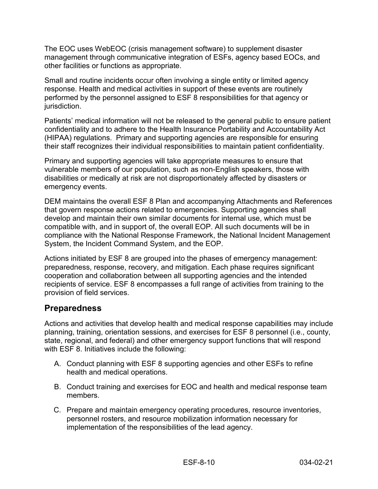The EOC uses WebEOC (crisis management software) to supplement disaster management through communicative integration of ESFs, agency based EOCs, and other facilities or functions as appropriate.

Small and routine incidents occur often involving a single entity or limited agency response. Health and medical activities in support of these events are routinely performed by the personnel assigned to ESF 8 responsibilities for that agency or jurisdiction.

Patients' medical information will not be released to the general public to ensure patient confidentiality and to adhere to the Health Insurance Portability and Accountability Act (HIPAA) regulations. Primary and supporting agencies are responsible for ensuring their staff recognizes their individual responsibilities to maintain patient confidentiality.

Primary and supporting agencies will take appropriate measures to ensure that vulnerable members of our population, such as non-English speakers, those with disabilities or medically at risk are not disproportionately affected by disasters or emergency events.

DEM maintains the overall ESF 8 Plan and accompanying Attachments and References that govern response actions related to emergencies. Supporting agencies shall develop and maintain their own similar documents for internal use, which must be compatible with, and in support of, the overall EOP. All such documents will be in compliance with the National Response Framework, the National Incident Management System, the Incident Command System, and the EOP.

Actions initiated by ESF 8 are grouped into the phases of emergency management: preparedness, response, recovery, and mitigation. Each phase requires significant cooperation and collaboration between all supporting agencies and the intended recipients of service. ESF 8 encompasses a full range of activities from training to the provision of field services.

#### <span id="page-10-0"></span>**Preparedness**

Actions and activities that develop health and medical response capabilities may include planning, training, orientation sessions, and exercises for ESF 8 personnel (i.e., county, state, regional, and federal) and other emergency support functions that will respond with ESF 8. Initiatives include the following:

- A. Conduct planning with ESF 8 supporting agencies and other ESFs to refine health and medical operations.
- B. Conduct training and exercises for EOC and health and medical response team members.
- C. Prepare and maintain emergency operating procedures, resource inventories, personnel rosters, and resource mobilization information necessary for implementation of the responsibilities of the lead agency.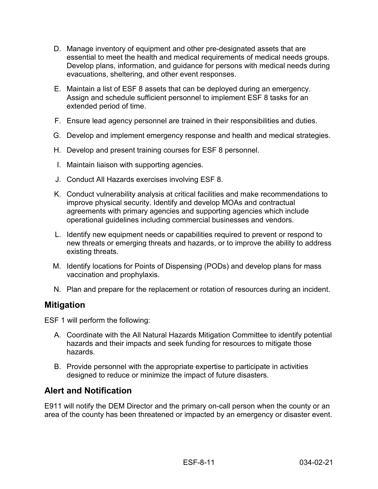- D. Manage inventory of equipment and other pre-designated assets that are essential to meet the health and medical requirements of medical needs groups. Develop plans, information, and guidance for persons with medical needs during evacuations, sheltering, and other event responses.
- E. Maintain a list of ESF 8 assets that can be deployed during an emergency. Assign and schedule sufficient personnel to implement ESF 8 tasks for an extended period of time.
- F. Ensure lead agency personnel are trained in their responsibilities and duties.
- G. Develop and implement emergency response and health and medical strategies.
- H. Develop and present training courses for ESF 8 personnel.
- I. Maintain liaison with supporting agencies.
- J. Conduct All Hazards exercises involving ESF 8.
- K. Conduct vulnerability analysis at critical facilities and make recommendations to improve physical security. Identify and develop MOAs and contractual agreements with primary agencies and supporting agencies which include operational guidelines including commercial businesses and vendors.
- L. Identify new equipment needs or capabilities required to prevent or respond to new threats or emerging threats and hazards, or to improve the ability to address existing threats.
- M. Identify locations for Points of Dispensing (PODs) and develop plans for mass vaccination and prophylaxis.
- N. Plan and prepare for the replacement or rotation of resources during an incident.

#### <span id="page-11-0"></span>**Mitigation**

ESF 1 will perform the following:

- A. Coordinate with the All Natural Hazards Mitigation Committee to identify potential hazards and their impacts and seek funding for resources to mitigate those hazards.
- B. Provide personnel with the appropriate expertise to participate in activities designed to reduce or minimize the impact of future disasters.

#### <span id="page-11-1"></span>**Alert and Notification**

E911 will notify the DEM Director and the primary on-call person when the county or an area of the county has been threatened or impacted by an emergency or disaster event.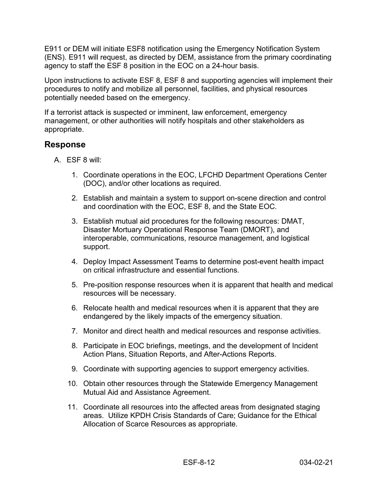E911 or DEM will initiate ESF8 notification using the Emergency Notification System (ENS). E911 will request, as directed by DEM, assistance from the primary coordinating agency to staff the ESF 8 position in the EOC on a 24-hour basis.

Upon instructions to activate ESF 8, ESF 8 and supporting agencies will implement their procedures to notify and mobilize all personnel, facilities, and physical resources potentially needed based on the emergency.

If a terrorist attack is suspected or imminent, law enforcement, emergency management, or other authorities will notify hospitals and other stakeholders as appropriate.

#### <span id="page-12-0"></span>**Response**

- A. ESF 8 will:
	- 1. Coordinate operations in the EOC, LFCHD Department Operations Center (DOC), and/or other locations as required.
	- 2. Establish and maintain a system to support on-scene direction and control and coordination with the EOC, ESF 8, and the State EOC.
	- 3. Establish mutual aid procedures for the following resources: DMAT, Disaster Mortuary Operational Response Team (DMORT), and interoperable, communications, resource management, and logistical support.
	- 4. Deploy Impact Assessment Teams to determine post-event health impact on critical infrastructure and essential functions.
	- 5. Pre-position response resources when it is apparent that health and medical resources will be necessary.
	- 6. Relocate health and medical resources when it is apparent that they are endangered by the likely impacts of the emergency situation.
	- 7. Monitor and direct health and medical resources and response activities.
	- 8. Participate in EOC briefings, meetings, and the development of Incident Action Plans, Situation Reports, and After-Actions Reports.
	- 9. Coordinate with supporting agencies to support emergency activities.
	- 10. Obtain other resources through the Statewide Emergency Management Mutual Aid and Assistance Agreement.
	- 11. Coordinate all resources into the affected areas from designated staging areas. Utilize KPDH Crisis Standards of Care; Guidance for the Ethical Allocation of Scarce Resources as appropriate.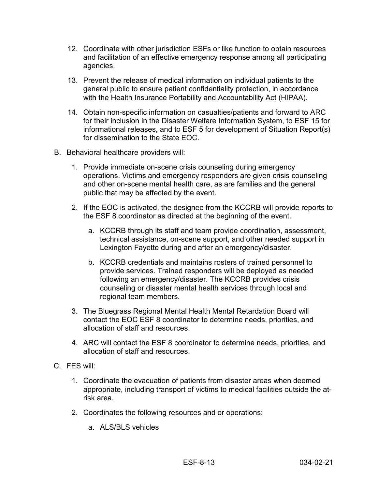- 12. Coordinate with other jurisdiction ESFs or like function to obtain resources and facilitation of an effective emergency response among all participating agencies.
- 13. Prevent the release of medical information on individual patients to the general public to ensure patient confidentiality protection, in accordance with the Health Insurance Portability and Accountability Act (HIPAA).
- 14. Obtain non-specific information on casualties/patients and forward to ARC for their inclusion in the Disaster Welfare Information System, to ESF 15 for informational releases, and to ESF 5 for development of Situation Report(s) for dissemination to the State EOC.
- B. Behavioral healthcare providers will:
	- 1. Provide immediate on-scene crisis counseling during emergency operations. Victims and emergency responders are given crisis counseling and other on-scene mental health care, as are families and the general public that may be affected by the event.
	- 2. If the EOC is activated, the designee from the KCCRB will provide reports to the ESF 8 coordinator as directed at the beginning of the event.
		- a. KCCRB through its staff and team provide coordination, assessment, technical assistance, on-scene support, and other needed support in Lexington Fayette during and after an emergency/disaster.
		- b. KCCRB credentials and maintains rosters of trained personnel to provide services. Trained responders will be deployed as needed following an emergency/disaster. The KCCRB provides crisis counseling or disaster mental health services through local and regional team members.
	- 3. The Bluegrass Regional Mental Health Mental Retardation Board will contact the EOC ESF 8 coordinator to determine needs, priorities, and allocation of staff and resources.
	- 4. ARC will contact the ESF 8 coordinator to determine needs, priorities, and allocation of staff and resources.
- C. FES will:
	- 1. Coordinate the evacuation of patients from disaster areas when deemed appropriate, including transport of victims to medical facilities outside the atrisk area.
	- 2. Coordinates the following resources and or operations:
		- a. ALS/BLS vehicles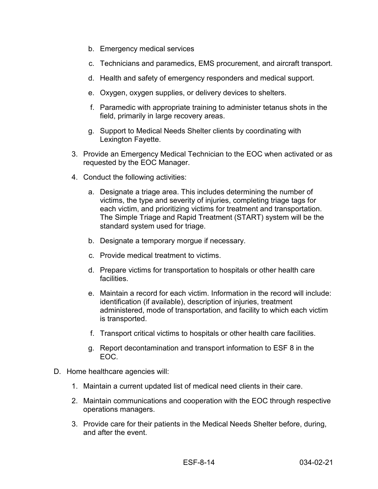- b. Emergency medical services
- c. Technicians and paramedics, EMS procurement, and aircraft transport.
- d. Health and safety of emergency responders and medical support.
- e. Oxygen, oxygen supplies, or delivery devices to shelters.
- f. Paramedic with appropriate training to administer tetanus shots in the field, primarily in large recovery areas.
- g. Support to Medical Needs Shelter clients by coordinating with Lexington Fayette.
- 3. Provide an Emergency Medical Technician to the EOC when activated or as requested by the EOC Manager.
- 4. Conduct the following activities:
	- a. Designate a triage area. This includes determining the number of victims, the type and severity of injuries, completing triage tags for each victim, and prioritizing victims for treatment and transportation. The Simple Triage and Rapid Treatment (START) system will be the standard system used for triage.
	- b. Designate a temporary morgue if necessary.
	- c. Provide medical treatment to victims.
	- d. Prepare victims for transportation to hospitals or other health care facilities.
	- e. Maintain a record for each victim. Information in the record will include: identification (if available), description of injuries, treatment administered, mode of transportation, and facility to which each victim is transported.
	- f. Transport critical victims to hospitals or other health care facilities.
	- g. Report decontamination and transport information to ESF 8 in the EOC.
- D. Home healthcare agencies will:
	- 1. Maintain a current updated list of medical need clients in their care.
	- 2. Maintain communications and cooperation with the EOC through respective operations managers.
	- 3. Provide care for their patients in the Medical Needs Shelter before, during, and after the event.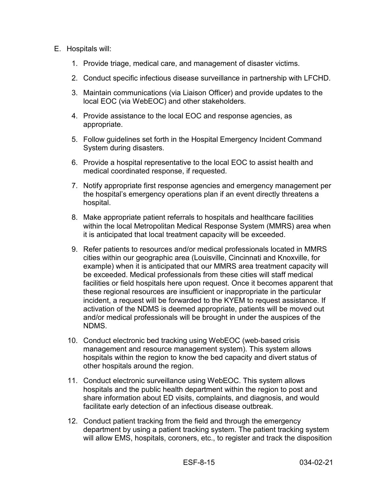#### E. Hospitals will:

- 1. Provide triage, medical care, and management of disaster victims.
- 2. Conduct specific infectious disease surveillance in partnership with LFCHD.
- 3. Maintain communications (via Liaison Officer) and provide updates to the local EOC (via WebEOC) and other stakeholders.
- 4. Provide assistance to the local EOC and response agencies, as appropriate.
- 5. Follow guidelines set forth in the Hospital Emergency Incident Command System during disasters.
- 6. Provide a hospital representative to the local EOC to assist health and medical coordinated response, if requested.
- 7. Notify appropriate first response agencies and emergency management per the hospital's emergency operations plan if an event directly threatens a hospital.
- 8. Make appropriate patient referrals to hospitals and healthcare facilities within the local Metropolitan Medical Response System (MMRS) area when it is anticipated that local treatment capacity will be exceeded.
- 9. Refer patients to resources and/or medical professionals located in MMRS cities within our geographic area (Louisville, Cincinnati and Knoxville, for example) when it is anticipated that our MMRS area treatment capacity will be exceeded. Medical professionals from these cities will staff medical facilities or field hospitals here upon request. Once it becomes apparent that these regional resources are insufficient or inappropriate in the particular incident, a request will be forwarded to the KYEM to request assistance. If activation of the NDMS is deemed appropriate, patients will be moved out and/or medical professionals will be brought in under the auspices of the NDMS.
- 10. Conduct electronic bed tracking using WebEOC (web-based crisis management and resource management system). This system allows hospitals within the region to know the bed capacity and divert status of other hospitals around the region.
- 11. Conduct electronic surveillance using WebEOC. This system allows hospitals and the public health department within the region to post and share information about ED visits, complaints, and diagnosis, and would facilitate early detection of an infectious disease outbreak.
- 12. Conduct patient tracking from the field and through the emergency department by using a patient tracking system. The patient tracking system will allow EMS, hospitals, coroners, etc., to register and track the disposition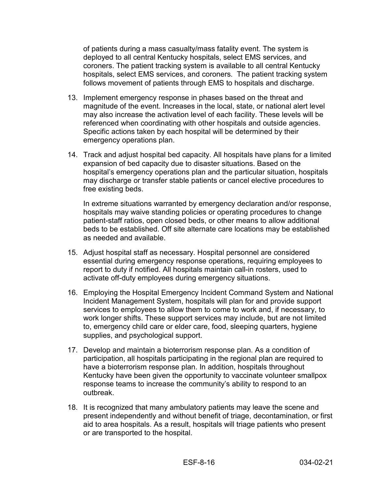of patients during a mass casualty/mass fatality event. The system is deployed to all central Kentucky hospitals, select EMS services, and coroners. The patient tracking system is available to all central Kentucky hospitals, select EMS services, and coroners. The patient tracking system follows movement of patients through EMS to hospitals and discharge.

- 13. Implement emergency response in phases based on the threat and magnitude of the event. Increases in the local, state, or national alert level may also increase the activation level of each facility. These levels will be referenced when coordinating with other hospitals and outside agencies. Specific actions taken by each hospital will be determined by their emergency operations plan.
- 14. Track and adjust hospital bed capacity. All hospitals have plans for a limited expansion of bed capacity due to disaster situations. Based on the hospital's emergency operations plan and the particular situation, hospitals may discharge or transfer stable patients or cancel elective procedures to free existing beds.

In extreme situations warranted by emergency declaration and/or response, hospitals may waive standing policies or operating procedures to change patient-staff ratios, open closed beds, or other means to allow additional beds to be established. Off site alternate care locations may be established as needed and available.

- 15. Adjust hospital staff as necessary. Hospital personnel are considered essential during emergency response operations, requiring employees to report to duty if notified. All hospitals maintain call-in rosters, used to activate off-duty employees during emergency situations.
- 16. Employing the Hospital Emergency Incident Command System and National Incident Management System, hospitals will plan for and provide support services to employees to allow them to come to work and, if necessary, to work longer shifts. These support services may include, but are not limited to, emergency child care or elder care, food, sleeping quarters, hygiene supplies, and psychological support.
- 17. Develop and maintain a bioterrorism response plan. As a condition of participation, all hospitals participating in the regional plan are required to have a bioterrorism response plan. In addition, hospitals throughout Kentucky have been given the opportunity to vaccinate volunteer smallpox response teams to increase the community's ability to respond to an outbreak.
- 18. It is recognized that many ambulatory patients may leave the scene and present independently and without benefit of triage, decontamination, or first aid to area hospitals. As a result, hospitals will triage patients who present or are transported to the hospital.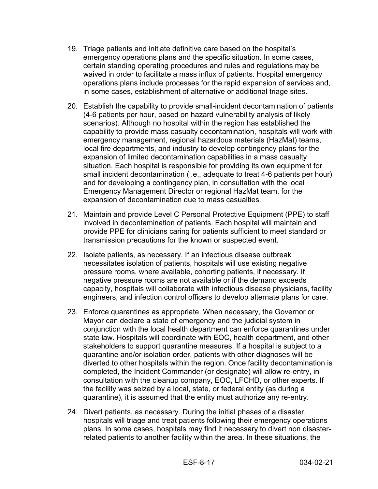- 19. Triage patients and initiate definitive care based on the hospital's emergency operations plans and the specific situation. In some cases, certain standing operating procedures and rules and regulations may be waived in order to facilitate a mass influx of patients. Hospital emergency operations plans include processes for the rapid expansion of services and, in some cases, establishment of alternative or additional triage sites.
- 20. Establish the capability to provide small-incident decontamination of patients (4-6 patients per hour, based on hazard vulnerability analysis of likely scenarios). Although no hospital within the region has established the capability to provide mass casualty decontamination, hospitals will work with emergency management, regional hazardous materials (HazMat) teams, local fire departments, and industry to develop contingency plans for the expansion of limited decontamination capabilities in a mass casualty situation. Each hospital is responsible for providing its own equipment for small incident decontamination (i.e., adequate to treat 4-6 patients per hour) and for developing a contingency plan, in consultation with the local Emergency Management Director or regional HazMat team, for the expansion of decontamination due to mass casualties.
- 21. Maintain and provide Level C Personal Protective Equipment (PPE) to staff involved in decontamination of patients. Each hospital will maintain and provide PPE for clinicians caring for patients sufficient to meet standard or transmission precautions for the known or suspected event.
- 22. Isolate patients, as necessary. If an infectious disease outbreak necessitates isolation of patients, hospitals will use existing negative pressure rooms, where available, cohorting patients, if necessary. If negative pressure rooms are not available or if the demand exceeds capacity, hospitals will collaborate with infectious disease physicians, facility engineers, and infection control officers to develop alternate plans for care.
- 23. Enforce quarantines as appropriate. When necessary, the Governor or Mayor can declare a state of emergency and the judicial system in conjunction with the local health department can enforce quarantines under state law. Hospitals will coordinate with EOC, health department, and other stakeholders to support quarantine measures. If a hospital is subject to a quarantine and/or isolation order, patients with other diagnoses will be diverted to other hospitals within the region. Once facility decontamination is completed, the Incident Commander (or designate) will allow re-entry, in consultation with the cleanup company, EOC, LFCHD, or other experts. If the facility was seized by a local, state, or federal entity (as during a quarantine), it is assumed that the entity must authorize any re-entry.
- 24. Divert patients, as necessary. During the initial phases of a disaster, hospitals will triage and treat patients following their emergency operations plans. In some cases, hospitals may find it necessary to divert non disasterrelated patients to another facility within the area. In these situations, the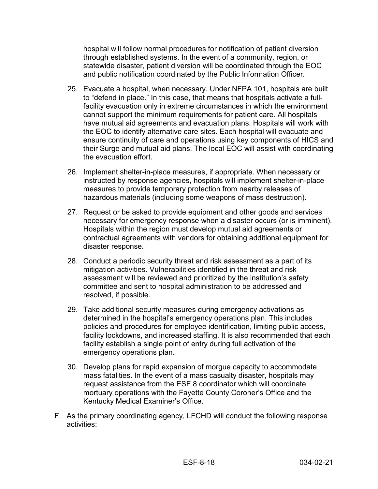hospital will follow normal procedures for notification of patient diversion through established systems. In the event of a community, region, or statewide disaster, patient diversion will be coordinated through the EOC and public notification coordinated by the Public Information Officer.

- 25. Evacuate a hospital, when necessary. Under NFPA 101, hospitals are built to "defend in place." In this case, that means that hospitals activate a fullfacility evacuation only in extreme circumstances in which the environment cannot support the minimum requirements for patient care. All hospitals have mutual aid agreements and evacuation plans. Hospitals will work with the EOC to identify alternative care sites. Each hospital will evacuate and ensure continuity of care and operations using key components of HICS and their Surge and mutual aid plans. The local EOC will assist with coordinating the evacuation effort.
- 26. Implement shelter-in-place measures, if appropriate. When necessary or instructed by response agencies, hospitals will implement shelter-in-place measures to provide temporary protection from nearby releases of hazardous materials (including some weapons of mass destruction).
- 27. Request or be asked to provide equipment and other goods and services necessary for emergency response when a disaster occurs (or is imminent). Hospitals within the region must develop mutual aid agreements or contractual agreements with vendors for obtaining additional equipment for disaster response.
- 28. Conduct a periodic security threat and risk assessment as a part of its mitigation activities. Vulnerabilities identified in the threat and risk assessment will be reviewed and prioritized by the institution's safety committee and sent to hospital administration to be addressed and resolved, if possible.
- 29. Take additional security measures during emergency activations as determined in the hospital's emergency operations plan. This includes policies and procedures for employee identification, limiting public access, facility lockdowns, and increased staffing. It is also recommended that each facility establish a single point of entry during full activation of the emergency operations plan.
- 30. Develop plans for rapid expansion of morgue capacity to accommodate mass fatalities. In the event of a mass casualty disaster, hospitals may request assistance from the ESF 8 coordinator which will coordinate mortuary operations with the Fayette County Coroner's Office and the Kentucky Medical Examiner's Office.
- F. As the primary coordinating agency, LFCHD will conduct the following response activities: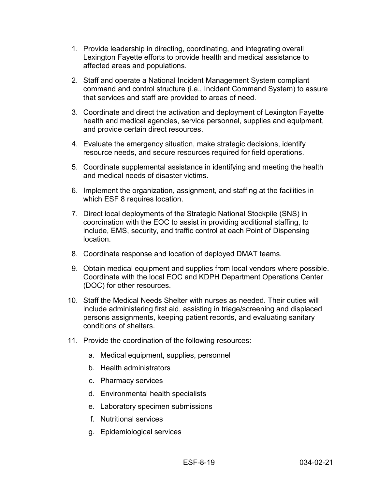- 1. Provide leadership in directing, coordinating, and integrating overall Lexington Fayette efforts to provide health and medical assistance to affected areas and populations.
- 2. Staff and operate a National Incident Management System compliant command and control structure (i.e., Incident Command System) to assure that services and staff are provided to areas of need.
- 3. Coordinate and direct the activation and deployment of Lexington Fayette health and medical agencies, service personnel, supplies and equipment, and provide certain direct resources.
- 4. Evaluate the emergency situation, make strategic decisions, identify resource needs, and secure resources required for field operations.
- 5. Coordinate supplemental assistance in identifying and meeting the health and medical needs of disaster victims.
- 6. Implement the organization, assignment, and staffing at the facilities in which ESF 8 requires location.
- 7. Direct local deployments of the Strategic National Stockpile (SNS) in coordination with the EOC to assist in providing additional staffing, to include, EMS, security, and traffic control at each Point of Dispensing location.
- 8. Coordinate response and location of deployed DMAT teams.
- 9. Obtain medical equipment and supplies from local vendors where possible. Coordinate with the local EOC and KDPH Department Operations Center (DOC) for other resources.
- 10. Staff the Medical Needs Shelter with nurses as needed. Their duties will include administering first aid, assisting in triage/screening and displaced persons assignments, keeping patient records, and evaluating sanitary conditions of shelters.
- 11. Provide the coordination of the following resources:
	- a. Medical equipment, supplies, personnel
	- b. Health administrators
	- c. Pharmacy services
	- d. Environmental health specialists
	- e. Laboratory specimen submissions
	- f. Nutritional services
	- g. Epidemiological services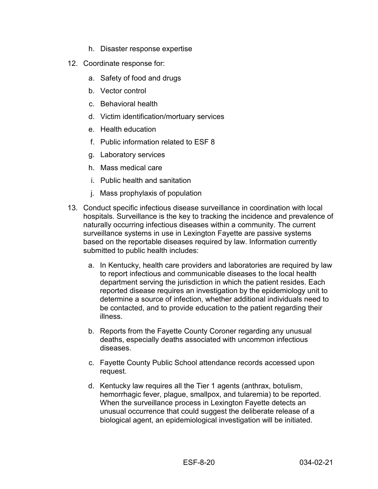- h. Disaster response expertise
- 12. Coordinate response for:
	- a. Safety of food and drugs
	- b. Vector control
	- c. Behavioral health
	- d. Victim identification/mortuary services
	- e. Health education
	- f. Public information related to ESF 8
	- g. Laboratory services
	- h. Mass medical care
	- i. Public health and sanitation
	- j. Mass prophylaxis of population
- 13. Conduct specific infectious disease surveillance in coordination with local hospitals. Surveillance is the key to tracking the incidence and prevalence of naturally occurring infectious diseases within a community. The current surveillance systems in use in Lexington Fayette are passive systems based on the reportable diseases required by law. Information currently submitted to public health includes:
	- a. In Kentucky, health care providers and laboratories are required by law to report infectious and communicable diseases to the local health department serving the jurisdiction in which the patient resides. Each reported disease requires an investigation by the epidemiology unit to determine a source of infection, whether additional individuals need to be contacted, and to provide education to the patient regarding their illness.
	- b. Reports from the Fayette County Coroner regarding any unusual deaths, especially deaths associated with uncommon infectious diseases.
	- c. Fayette County Public School attendance records accessed upon request.
	- d. Kentucky law requires all the Tier 1 agents (anthrax, botulism, hemorrhagic fever, plague, smallpox, and tularemia) to be reported. When the surveillance process in Lexington Fayette detects an unusual occurrence that could suggest the deliberate release of a biological agent, an epidemiological investigation will be initiated.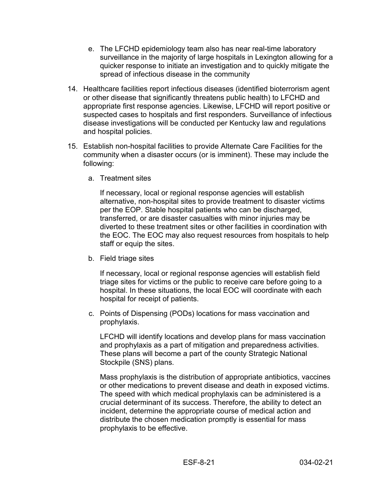- e. The LFCHD epidemiology team also has near real-time laboratory surveillance in the majority of large hospitals in Lexington allowing for a quicker response to initiate an investigation and to quickly mitigate the spread of infectious disease in the community
- 14. Healthcare facilities report infectious diseases (identified bioterrorism agent or other disease that significantly threatens public health) to LFCHD and appropriate first response agencies. Likewise, LFCHD will report positive or suspected cases to hospitals and first responders. Surveillance of infectious disease investigations will be conducted per Kentucky law and regulations and hospital policies.
- 15. Establish non-hospital facilities to provide Alternate Care Facilities for the community when a disaster occurs (or is imminent). These may include the following:
	- a. Treatment sites

If necessary, local or regional response agencies will establish alternative, non-hospital sites to provide treatment to disaster victims per the EOP. Stable hospital patients who can be discharged, transferred, or are disaster casualties with minor injuries may be diverted to these treatment sites or other facilities in coordination with the EOC. The EOC may also request resources from hospitals to help staff or equip the sites.

b. Field triage sites

If necessary, local or regional response agencies will establish field triage sites for victims or the public to receive care before going to a hospital. In these situations, the local EOC will coordinate with each hospital for receipt of patients.

c. Points of Dispensing (PODs) locations for mass vaccination and prophylaxis.

LFCHD will identify locations and develop plans for mass vaccination and prophylaxis as a part of mitigation and preparedness activities. These plans will become a part of the county Strategic National Stockpile (SNS) plans.

Mass prophylaxis is the distribution of appropriate antibiotics, vaccines or other medications to prevent disease and death in exposed victims. The speed with which medical prophylaxis can be administered is a crucial determinant of its success. Therefore, the ability to detect an incident, determine the appropriate course of medical action and distribute the chosen medication promptly is essential for mass prophylaxis to be effective.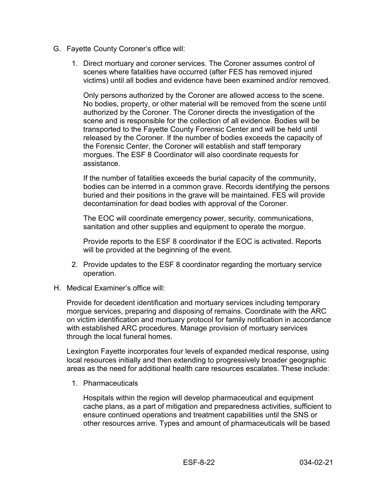- G. Fayette County Coroner's office will:
	- 1. Direct mortuary and coroner services. The Coroner assumes control of scenes where fatalities have occurred (after FES has removed injured victims) until all bodies and evidence have been examined and/or removed.

Only persons authorized by the Coroner are allowed access to the scene. No bodies, property, or other material will be removed from the scene until authorized by the Coroner. The Coroner directs the investigation of the scene and is responsible for the collection of all evidence. Bodies will be transported to the Fayette County Forensic Center and will be held until released by the Coroner. If the number of bodies exceeds the capacity of the Forensic Center, the Coroner will establish and staff temporary morgues. The ESF 8 Coordinator will also coordinate requests for assistance.

If the number of fatalities exceeds the burial capacity of the community, bodies can be interred in a common grave. Records identifying the persons buried and their positions in the grave will be maintained. FES will provide decontamination for dead bodies with approval of the Coroner.

The EOC will coordinate emergency power, security, communications, sanitation and other supplies and equipment to operate the morgue.

Provide reports to the ESF 8 coordinator if the EOC is activated. Reports will be provided at the beginning of the event.

- 2. Provide updates to the ESF 8 coordinator regarding the mortuary service operation.
- H. Medical Examiner's office will:

Provide for decedent identification and mortuary services including temporary morgue services, preparing and disposing of remains. Coordinate with the ARC on victim identification and mortuary protocol for family notification in accordance with established ARC procedures. Manage provision of mortuary services through the local funeral homes.

Lexington Fayette incorporates four levels of expanded medical response, using local resources initially and then extending to progressively broader geographic areas as the need for additional health care resources escalates. These include:

1. Pharmaceuticals

Hospitals within the region will develop pharmaceutical and equipment cache plans, as a part of mitigation and preparedness activities, sufficient to ensure continued operations and treatment capabilities until the SNS or other resources arrive. Types and amount of pharmaceuticals will be based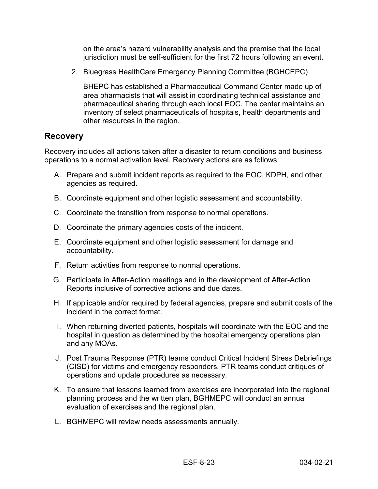on the area's hazard vulnerability analysis and the premise that the local jurisdiction must be self-sufficient for the first 72 hours following an event.

2. Bluegrass HealthCare Emergency Planning Committee (BGHCEPC)

BHEPC has established a Pharmaceutical Command Center made up of area pharmacists that will assist in coordinating technical assistance and pharmaceutical sharing through each local EOC. The center maintains an inventory of select pharmaceuticals of hospitals, health departments and other resources in the region.

#### <span id="page-23-0"></span>**Recovery**

Recovery includes all actions taken after a disaster to return conditions and business operations to a normal activation level. Recovery actions are as follows:

- A. Prepare and submit incident reports as required to the EOC, KDPH, and other agencies as required.
- B. Coordinate equipment and other logistic assessment and accountability.
- C. Coordinate the transition from response to normal operations.
- D. Coordinate the primary agencies costs of the incident.
- E. Coordinate equipment and other logistic assessment for damage and accountability.
- F. Return activities from response to normal operations.
- G. Participate in After-Action meetings and in the development of After-Action Reports inclusive of corrective actions and due dates.
- H. If applicable and/or required by federal agencies, prepare and submit costs of the incident in the correct format.
- I. When returning diverted patients, hospitals will coordinate with the EOC and the hospital in question as determined by the hospital emergency operations plan and any MOAs.
- J. Post Trauma Response (PTR) teams conduct Critical Incident Stress Debriefings (CISD) for victims and emergency responders. PTR teams conduct critiques of operations and update procedures as necessary.
- K. To ensure that lessons learned from exercises are incorporated into the regional planning process and the written plan, BGHMEPC will conduct an annual evaluation of exercises and the regional plan.
- L. BGHMEPC will review needs assessments annually.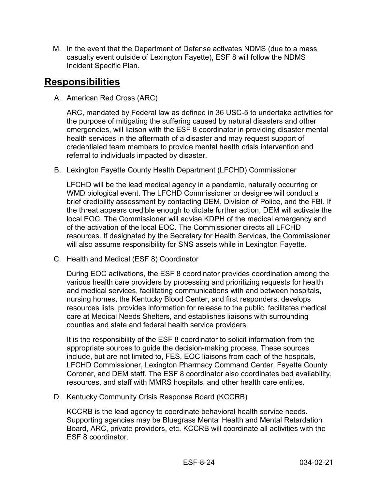M. In the event that the Department of Defense activates NDMS (due to a mass casualty event outside of Lexington Fayette), ESF 8 will follow the NDMS Incident Specific Plan.

#### <span id="page-24-0"></span>**Responsibilities**

A. American Red Cross (ARC)

ARC, mandated by Federal law as defined in 36 USC-5 to undertake activities for the purpose of mitigating the suffering caused by natural disasters and other emergencies, will liaison with the ESF 8 coordinator in providing disaster mental health services in the aftermath of a disaster and may request support of credentialed team members to provide mental health crisis intervention and referral to individuals impacted by disaster.

B. Lexington Fayette County Health Department (LFCHD) Commissioner

LFCHD will be the lead medical agency in a pandemic, naturally occurring or WMD biological event. The LFCHD Commissioner or designee will conduct a brief credibility assessment by contacting DEM, Division of Police, and the FBI. If the threat appears credible enough to dictate further action, DEM will activate the local EOC. The Commissioner will advise KDPH of the medical emergency and of the activation of the local EOC. The Commissioner directs all LFCHD resources. If designated by the Secretary for Health Services, the Commissioner will also assume responsibility for SNS assets while in Lexington Fayette.

C. Health and Medical (ESF 8) Coordinator

During EOC activations, the ESF 8 coordinator provides coordination among the various health care providers by processing and prioritizing requests for health and medical services, facilitating communications with and between hospitals, nursing homes, the Kentucky Blood Center, and first responders, develops resources lists, provides information for release to the public, facilitates medical care at Medical Needs Shelters, and establishes liaisons with surrounding counties and state and federal health service providers.

It is the responsibility of the ESF 8 coordinator to solicit information from the appropriate sources to guide the decision-making process. These sources include, but are not limited to, FES, EOC liaisons from each of the hospitals, LFCHD Commissioner, Lexington Pharmacy Command Center, Fayette County Coroner, and DEM staff. The ESF 8 coordinator also coordinates bed availability, resources, and staff with MMRS hospitals, and other health care entities.

D. Kentucky Community Crisis Response Board (KCCRB)

KCCRB is the lead agency to coordinate behavioral health service needs. Supporting agencies may be Bluegrass Mental Health and Mental Retardation Board, ARC, private providers, etc. KCCRB will coordinate all activities with the ESF 8 coordinator.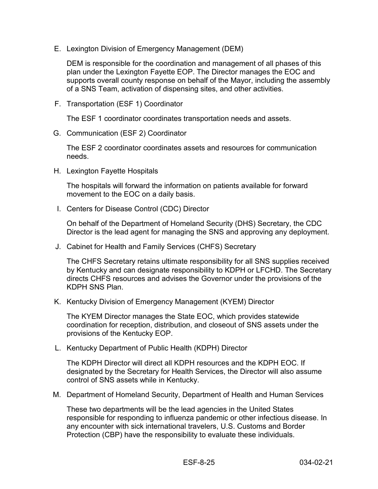E. Lexington Division of Emergency Management (DEM)

DEM is responsible for the coordination and management of all phases of this plan under the Lexington Fayette EOP. The Director manages the EOC and supports overall county response on behalf of the Mayor, including the assembly of a SNS Team, activation of dispensing sites, and other activities.

F. Transportation (ESF 1) Coordinator

The ESF 1 coordinator coordinates transportation needs and assets.

G. Communication (ESF 2) Coordinator

The ESF 2 coordinator coordinates assets and resources for communication needs.

H. Lexington Fayette Hospitals

The hospitals will forward the information on patients available for forward movement to the EOC on a daily basis.

I. Centers for Disease Control (CDC) Director

On behalf of the Department of Homeland Security (DHS) Secretary, the CDC Director is the lead agent for managing the SNS and approving any deployment.

J. Cabinet for Health and Family Services (CHFS) Secretary

The CHFS Secretary retains ultimate responsibility for all SNS supplies received by Kentucky and can designate responsibility to KDPH or LFCHD. The Secretary directs CHFS resources and advises the Governor under the provisions of the KDPH SNS Plan.

K. Kentucky Division of Emergency Management (KYEM) Director

The KYEM Director manages the State EOC, which provides statewide coordination for reception, distribution, and closeout of SNS assets under the provisions of the Kentucky EOP.

L. Kentucky Department of Public Health (KDPH) Director

The KDPH Director will direct all KDPH resources and the KDPH EOC. If designated by the Secretary for Health Services, the Director will also assume control of SNS assets while in Kentucky.

M. Department of Homeland Security, Department of Health and Human Services

These two departments will be the lead agencies in the United States responsible for responding to influenza pandemic or other infectious disease. In any encounter with sick international travelers, U.S. Customs and Border Protection (CBP) have the responsibility to evaluate these individuals.